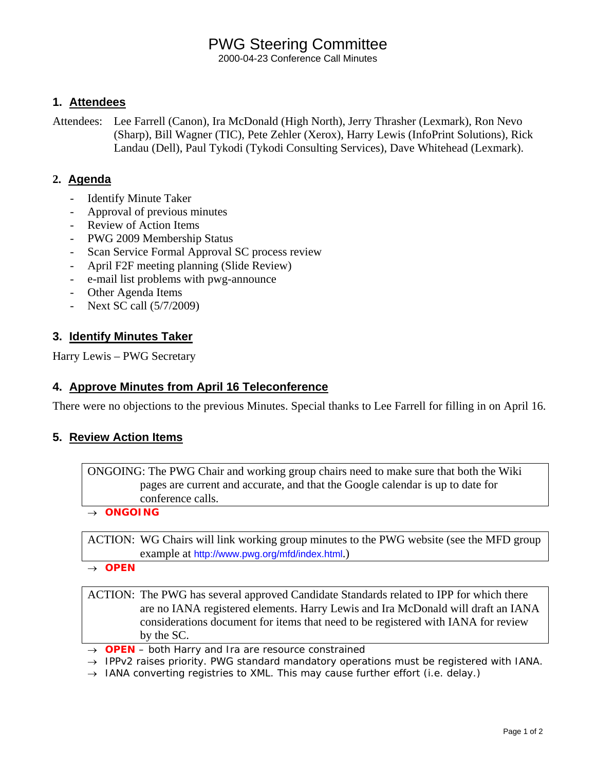# PWG Steering Committee

2000-04-23 Conference Call Minutes

## **1. Attendees**

Attendees: Lee Farrell (Canon), Ira McDonald (High North), Jerry Thrasher (Lexmark), Ron Nevo (Sharp), Bill Wagner (TIC), Pete Zehler (Xerox), Harry Lewis (InfoPrint Solutions), Rick Landau (Dell), Paul Tykodi (Tykodi Consulting Services), Dave Whitehead (Lexmark).

## **2. Agenda**

- **Identify Minute Taker**
- Approval of previous minutes
- Review of Action Items
- PWG 2009 Membership Status
- Scan Service Formal Approval SC process review
- April F2F meeting planning (Slide Review)
- e-mail list problems with pwg-announce
- Other Agenda Items
- Next SC call (5/7/2009)

# **3. Identify Minutes Taker**

Harry Lewis – PWG Secretary

## **4. Approve Minutes from April 16 Teleconference**

There were no objections to the previous Minutes. Special thanks to Lee Farrell for filling in on April 16.

## **5. Review Action Items**

ONGOING: The PWG Chair and working group chairs need to make sure that both the Wiki pages are current and accurate, and that the Google calendar is up to date for conference calls.

→ *ONGOING* 

ACTION: WG Chairs will link working group minutes to the PWG website (see the MFD group example at http://www.pwg.org/mfd/index.html.)

→ *OPEN*

ACTION: The PWG has several approved Candidate Standards related to IPP for which there are no IANA registered elements. Harry Lewis and Ira McDonald will draft an IANA considerations document for items that need to be registered with IANA for review by the SC.

- → *OPEN both Harry and Ira are resource constrained*
- → *IPPv2 raises priority. PWG standard mandatory operations must be registered with IANA.*
- → *IANA converting registries to XML. This may cause further effort (i.e. delay.)*